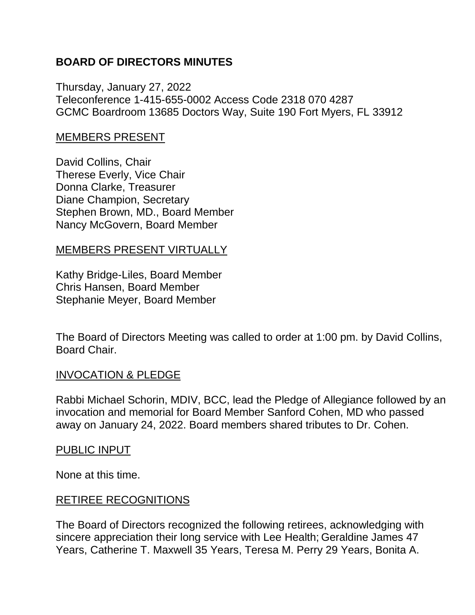### **BOARD OF DIRECTORS MINUTES**

Thursday, January 27, 2022 Teleconference 1-415-655-0002 Access Code 2318 070 4287 GCMC Boardroom 13685 Doctors Way, Suite 190 Fort Myers, FL 33912

### MEMBERS PRESENT

David Collins, Chair Therese Everly, Vice Chair Donna Clarke, Treasurer Diane Champion, Secretary Stephen Brown, MD., Board Member Nancy McGovern, Board Member

#### MEMBERS PRESENT VIRTUALLY

Kathy Bridge-Liles, Board Member Chris Hansen, Board Member Stephanie Meyer, Board Member

The Board of Directors Meeting was called to order at 1:00 pm. by David Collins, Board Chair.

### INVOCATION & PLEDGE

Rabbi Michael Schorin, MDIV, BCC, lead the Pledge of Allegiance followed by an invocation and memorial for Board Member Sanford Cohen, MD who passed away on January 24, 2022. Board members shared tributes to Dr. Cohen.

#### PUBLIC INPUT

None at this time.

#### RETIREE RECOGNITIONS

The Board of Directors recognized the following retirees, acknowledging with sincere appreciation their long service with Lee Health; Geraldine James 47 Years, Catherine T. Maxwell 35 Years, Teresa M. Perry 29 Years, Bonita A.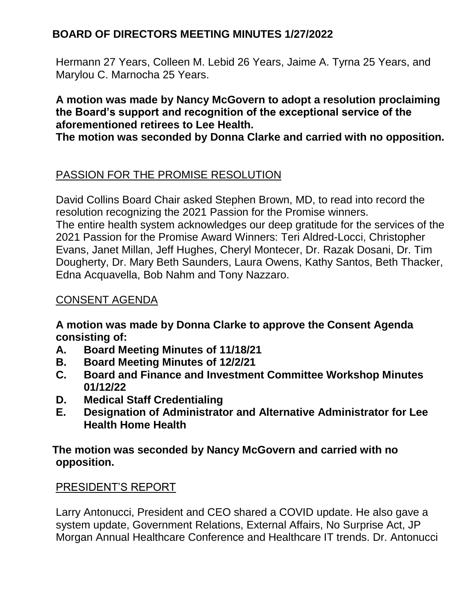Hermann 27 Years, Colleen M. Lebid 26 Years, Jaime A. Tyrna 25 Years, and Marylou C. Marnocha 25 Years.

### **A motion was made by Nancy McGovern to adopt a resolution proclaiming the Board's support and recognition of the exceptional service of the aforementioned retirees to Lee Health.**

**The motion was seconded by Donna Clarke and carried with no opposition.**

# PASSION FOR THE PROMISE RESOLUTION

David Collins Board Chair asked Stephen Brown, MD, to read into record the resolution recognizing the 2021 Passion for the Promise winners. The entire health system acknowledges our deep gratitude for the services of the 2021 Passion for the Promise Award Winners: Teri Aldred-Locci, Christopher Evans, Janet Millan, Jeff Hughes, Cheryl Montecer, Dr. Razak Dosani, Dr. Tim Dougherty, Dr. Mary Beth Saunders, Laura Owens, Kathy Santos, Beth Thacker, Edna Acquavella, Bob Nahm and Tony Nazzaro.

## CONSENT AGENDA

**A motion was made by Donna Clarke to approve the Consent Agenda consisting of:**

- **A. Board Meeting Minutes of 11/18/21**
- **B. Board Meeting Minutes of 12/2/21**
- **C. Board and Finance and Investment Committee Workshop Minutes 01/12/22**
- **D. Medical Staff Credentialing**
- **E. Designation of Administrator and Alternative Administrator for Lee Health Home Health**

**The motion was seconded by Nancy McGovern and carried with no opposition.**

### PRESIDENT'S REPORT

Larry Antonucci, President and CEO shared a COVID update. He also gave a system update, Government Relations, External Affairs, No Surprise Act, JP Morgan Annual Healthcare Conference and Healthcare IT trends. Dr. Antonucci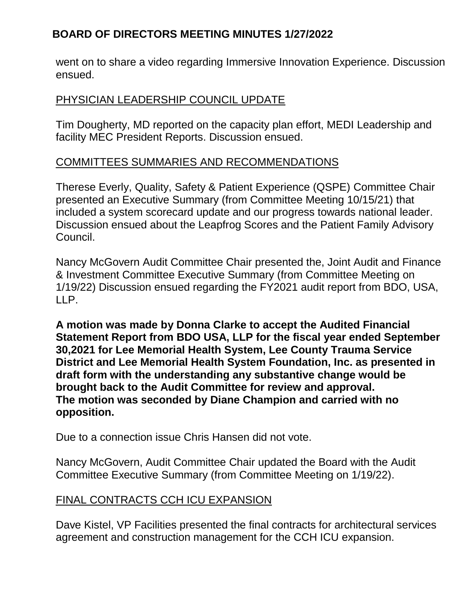went on to share a video regarding Immersive Innovation Experience. Discussion ensued.

### PHYSICIAN LEADERSHIP COUNCIL UPDATE

Tim Dougherty, MD reported on the capacity plan effort, MEDI Leadership and facility MEC President Reports. Discussion ensued.

## COMMITTEES SUMMARIES AND RECOMMENDATIONS

Therese Everly, Quality, Safety & Patient Experience (QSPE) Committee Chair presented an Executive Summary (from Committee Meeting 10/15/21) that included a system scorecard update and our progress towards national leader. Discussion ensued about the Leapfrog Scores and the Patient Family Advisory Council.

Nancy McGovern Audit Committee Chair presented the, Joint Audit and Finance & Investment Committee Executive Summary (from Committee Meeting on 1/19/22) Discussion ensued regarding the FY2021 audit report from BDO, USA, LLP.

**A motion was made by Donna Clarke to accept the Audited Financial Statement Report from BDO USA, LLP for the fiscal year ended September 30,2021 for Lee Memorial Health System, Lee County Trauma Service District and Lee Memorial Health System Foundation, Inc. as presented in draft form with the understanding any substantive change would be brought back to the Audit Committee for review and approval. The motion was seconded by Diane Champion and carried with no opposition.**

Due to a connection issue Chris Hansen did not vote.

Nancy McGovern, Audit Committee Chair updated the Board with the Audit Committee Executive Summary (from Committee Meeting on 1/19/22).

### FINAL CONTRACTS CCH ICU EXPANSION

Dave Kistel, VP Facilities presented the final contracts for architectural services agreement and construction management for the CCH ICU expansion.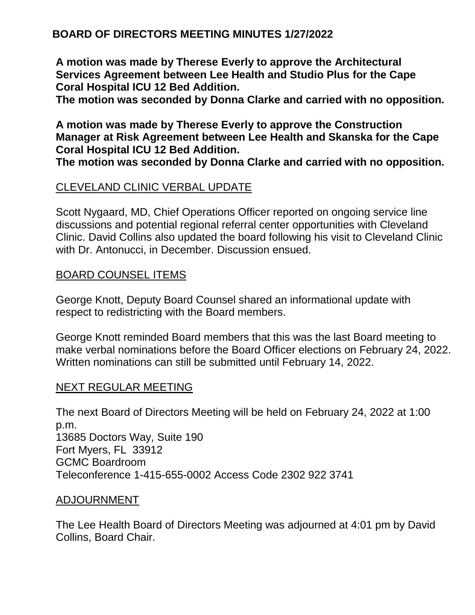**A motion was made by Therese Everly to approve the Architectural Services Agreement between Lee Health and Studio Plus for the Cape Coral Hospital ICU 12 Bed Addition.**

**The motion was seconded by Donna Clarke and carried with no opposition.**

**A motion was made by Therese Everly to approve the Construction Manager at Risk Agreement between Lee Health and Skanska for the Cape Coral Hospital ICU 12 Bed Addition.**

**The motion was seconded by Donna Clarke and carried with no opposition.**

## CLEVELAND CLINIC VERBAL UPDATE

Scott Nygaard, MD, Chief Operations Officer reported on ongoing service line discussions and potential regional referral center opportunities with Cleveland Clinic. David Collins also updated the board following his visit to Cleveland Clinic with Dr. Antonucci, in December. Discussion ensued.

### BOARD COUNSEL ITEMS

George Knott, Deputy Board Counsel shared an informational update with respect to redistricting with the Board members.

George Knott reminded Board members that this was the last Board meeting to make verbal nominations before the Board Officer elections on February 24, 2022. Written nominations can still be submitted until February 14, 2022.

#### NEXT REGULAR MEETING

The next Board of Directors Meeting will be held on February 24, 2022 at 1:00 p.m. 13685 Doctors Way, Suite 190 Fort Myers, FL 33912 GCMC Boardroom Teleconference 1-415-655-0002 Access Code 2302 922 3741

#### ADJOURNMENT

The Lee Health Board of Directors Meeting was adjourned at 4:01 pm by David Collins, Board Chair.